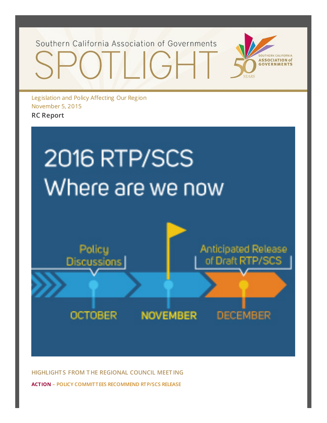Southern California Association of Governments



Legislation and Policy Affecting Our Region November 5, 2015 **RC Report**





**HIGHLIGHT S FROM T HE REGIONAL COUNCIL MEET ING ACTION – POLICY COMMITTEES RECOMMEND RTP/SCS RELEASE**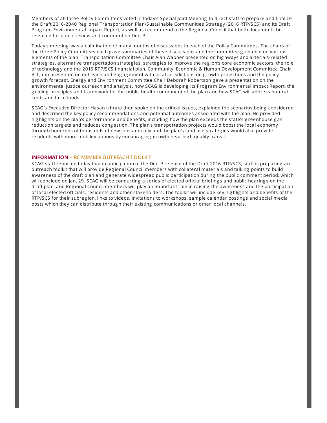Members of all three Policy Committees voted in today's Special Joint Meeting to direct staff to prepare and finalize the Draft 2016-2040 Regional Transportation Plan/Sustainable Communities Strategy (2016 RTP/SCS) and its Draft Prog ram Environmental Impact Report, as well as recommend to the Reg ional Council that both documents be released for public review and comment on Dec. 3.

Today's meeting was a culmination of many months of discussions in each of the Policy Committees. The chairs of the three Policy Committees each g ave summaries of these discussions and the committee g uidance on various elements of the plan. Transportation Committee Chair Alan Wapner presented on hig hways and arterials-related strateg ies, alternative transportation strateg ies, strateg ies to improve the reg ion's core economic sectors, the role of technolog y and the 2016 RTP/SCS financial plan. Community, Economic & Human Development Committee Chair Bill Jahn presented on outreach and eng ag ement with local jurisdictions on g rowth projections and the policy g rowth forecast. Energy and Environment Committee Chair Deborah Robertson gave a presentation on the environmental justice outreach and analysis, how SCAG is developing its Prog ram Environmental Impact Report, the g uiding principles and framework for the public health component of the plan and how SCAG will address natural lands and farm lands.

SCAG's Executive Director Hasan Ikhrata then spoke on the critical issues, explained the scenarios being considered and described the key policy recommendations and potential outcomes associated with the plan. He provided hig hlig hts on the plan's performance and benefits, including how the plan exceeds the state's g reenhouse g as reduction targ ets and reduces cong estion. The plan's transportation projects would boost the local economy throug h hundreds of thousands of new jobs annually and the plan's land use strateg ies would also provide residents with more mobility options by encourag ing g rowth near hig h quality transit.

#### **INFORMATION – RC MEMBER OUTREACH TOOLKIT**

SCAG staff reported today that in anticipation of the Dec. 3 release of the Draft 2016 RTP/SCS, staff is preparing an outreach toolkit that will provide Reg ional Council members with collateral materials and talking points to build awareness of the draft plan and g enerate widespread public participation during the public comment period, which will conclude on Jan. 29. SCAG will be conducting a series of elected official briefing s and public hearing s on the draft plan, and Reg ional Council members will play an important role in raising the awareness and the participation of local elected officials, residents and other stakeholders. The toolkit will include key hig hlig hts and benefits of the RTP/SCS for their subreg ion, links to videos, invitations to workshops, sample calendar posting s and social media posts which they can distribute throug h their existing communications or other local channels.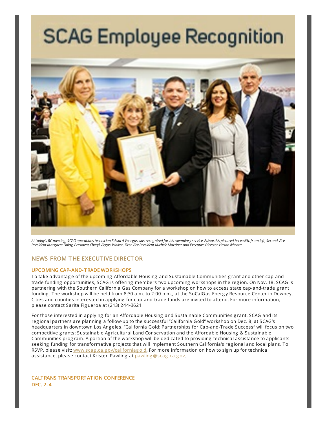# **SCAG Employee Recognition**



At today's RC meeting, SCAG operations technician Edward Venegas was recognized for his exemplary service. Edward is pictured here with, from left, Second Vice President Margaret Finlay, President Cheryl Viegas-Walker, First Vice President Michele Martinez and Executive Director Hasan Ikhrata.

# **NEWS FROM T HE EXECUT IVE DIRECTOR**

#### **UPCOMING CAP-AND-TRADE WORKSHOPS**

To take advantag e of the upcoming Affordable Housing and Sustainable Communities g rant and other cap-andtrade funding opportunities, SCAG is offering members two upcoming workshops in the reg ion. On Nov. 18, SCAG is partnering with the Southern California Gas Company for a workshop on how to access state cap-and-trade g rant funding . The workshop will be held from 8:30 a.m. to 2:00 p.m., at the SoCalGas Energy Resource Center in Downey. Cities and counties interested in applying for cap-and-trade funds are invited to attend. For more information, please contact Sarita Fig ueroa at (213) 244-3621.

For those interested in applying for an Affordable Housing and Sustainable Communities g rant, SCAG and its reg ional partners are planning a follow-up to the successful "California Gold" workshop on Dec. 8, at SCAG's headquarters in downtown Los Ang eles. "California Gold: Partnerships for Cap-and-Trade Success" will focus on two competitive g rants: Sustainable Ag ricultural Land Conservation and the Affordable Housing & Sustainable Communities prog ram. A portion of the workshop will be dedicated to providing technical assistance to applicants seeking funding for transformative projects that will implement Southern California's reg ional and local plans. To RSVP, please visit: www.scag.ca.g [ov/californiag](http://www.scag.ca.gov/californiagold) old. For more information on how to sign up for technical assistance, please contact Kristen Pawling at [pawling](mailto:pawling@scag.ca.gov?subject=Spotlight-Cap-And-Trade) @scag.ca.gov.

**CALTRANS TRANSPORTATION CONFERENCE DEC. 2-4**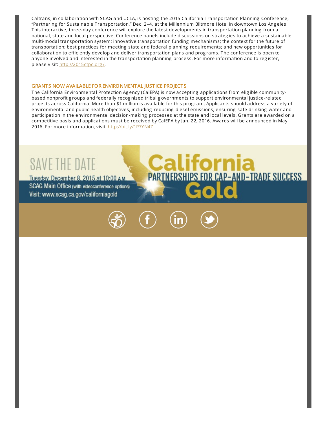Caltrans, in collaboration with SCAG and UCLA, is hosting the 2015 California Transportation Planning Conference, "Partnering for Sustainable Transportation," Dec. 2–4, at the Millennium Biltmore Hotel in downtown Los Ang eles. This interactive, three-day conference will explore the latest developments in transportation planning from a national, state and local perspective. Conference panels include discussions on strateg ies to achieve a sustainable, multi-modal transportation system; innovative transportation funding mechanisms; the context for the future of transportation; best practices for meeting state and federal planning requirements; and new opportunities for collaboration to efficiently develop and deliver transportation plans and prog rams. The conference is open to anyone involved and interested in the transportation planning process. For more information and to reg ister, please visit: [http://2015ctpc.org](http://2015ctpc.org/)/.

#### **GRANTS NOW AVAILABLE FOR ENVIRONMENTAL JUSTICE PROJECTS**

The California Environmental Protection Ag ency (CalEPA) is now accepting applications from elig ible communitybased nonprofit g roups and federally recog nized tribal g overnments to support environmental justice-related projects across California. More than \$1 million is available for this prog ram. Applicants should address a variety of environmental and public health objectives, including reducing diesel emissions, ensuring safe drinking water and participation in the environmental decision-making processes at the state and local levels. Grants are awarded on a competitive basis and applications must be received by CalEPA by Jan. 22, 2016. Awards will be announced in May 2016. For more information, visit: <http://bit.ly/1P7YN4Z>.

lifornia

**PARTNERSHIPS FOR CAP-AND-TRADE SUCCESS** 

# SAVE THE DATE

Tuesday, December 8, 2015 at 10:00 AM. SCAG Main Office (with videoconference options) Visit: www.scag.ca.gov/californiagold